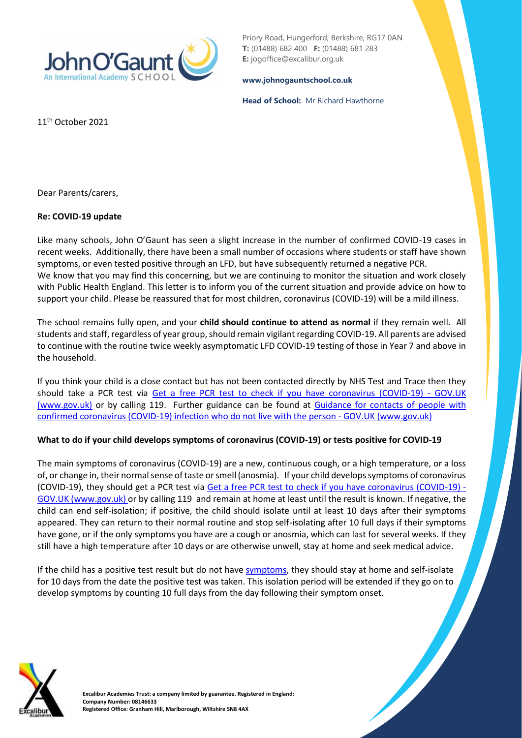

Priory Road, Hungerford, Berkshire, RG17 0AN **T:** (01488) 682 400 **F:** (01488) 681 283 **E:** jogoffice@excalibur.org.uk

#### **[www.johnogauntschool.co.uk](http://www.johnogauntschool.co.uk/)**

**Head of School:** Mr Richard Hawthorne

11th October 2021

Dear Parents/carers,

#### **Re: COVID-19 update**

Like many schools, John O'Gaunt has seen a slight increase in the number of confirmed COVID-19 cases in recent weeks. Additionally, there have been a small number of occasions where students or staff have shown symptoms, or even tested positive through an LFD, but have subsequently returned a negative PCR. We know that you may find this concerning, but we are continuing to monitor the situation and work closely with Public Health England. This letter is to inform you of the current situation and provide advice on how to support your child. Please be reassured that for most children, coronavirus (COVID-19) will be a mild illness.

The school remains fully open, and your **child should continue to attend as normal** if they remain well. All students and staff, regardless of year group, should remain vigilant regarding COVID-19. All parents are advised to continue with the routine twice weekly asymptomatic LFD COVID-19 testing of those in Year 7 and above in the household.

If you think your child is a close contact but has not been contacted directly by NHS Test and Trace then they should take a PCR test via [Get a free PCR test to check if you have coronavirus \(COVID-19\) -](https://www.gov.uk/get-coronavirus-test) GOV.UK [\(www.gov.uk\)](https://www.gov.uk/get-coronavirus-test) or by calling 119. Further guidance can be found at [Guidance for contacts of people with](https://www.gov.uk/government/publications/guidance-for-contacts-of-people-with-possible-or-confirmed-coronavirus-covid-19-infection-who-do-not-live-with-the-person/guidance-for-contacts-of-people-with-possible-or-confirmed-coronavirus-covid-19-infection-who-do-not-live-with-the-person#i-think-i-have-had-contact-with-someone-who-has-tested-positive-for-covid-19-but-i-have-not-been-notified-and-advised-to-self-isolate-what-should-i-do)  [confirmed coronavirus \(COVID-19\) infection who do not live with the person -](https://www.gov.uk/government/publications/guidance-for-contacts-of-people-with-possible-or-confirmed-coronavirus-covid-19-infection-who-do-not-live-with-the-person/guidance-for-contacts-of-people-with-possible-or-confirmed-coronavirus-covid-19-infection-who-do-not-live-with-the-person#i-think-i-have-had-contact-with-someone-who-has-tested-positive-for-covid-19-but-i-have-not-been-notified-and-advised-to-self-isolate-what-should-i-do) GOV.UK (www.gov.uk)

## **What to do if your child develops symptoms of coronavirus (COVID-19) or tests positive for COVID-19**

The main symptoms of coronavirus (COVID-19) are a new, continuous cough, or a high temperature, or a loss of, or change in, their normal sense of taste or smell (anosmia). If your child develops symptoms of coronavirus (COVID-19), they should get a PCR test via [Get a free PCR test to check if you have coronavirus \(COVID-19\) -](https://www.gov.uk/get-coronavirus-test) [GOV.UK \(www.gov.uk\)](https://www.gov.uk/get-coronavirus-test) or by calling 119 and remain at home at least until the result is known. If negative, the child can end self-isolation; if positive, the child should isolate until at least 10 days after their symptoms appeared. They can return to their normal routine and stop self-isolating after 10 full days if their symptoms have gone, or if the only symptoms you have are a cough or anosmia, which can last for several weeks. If they still have a high temperature after 10 days or are otherwise unwell, stay at home and seek medical advice.

If the child has a positive test result but do not have [symptoms,](https://www.gov.uk/government/publications/covid-19-stay-at-home-guidance/stay-at-home-guidance-for-households-with-possible-coronavirus-covid-19-infection#symptoms) they should stay at home and self-isolate for 10 days from the date the positive test was taken. This isolation period will be extended if they go on to develop symptoms by counting 10 full days from the day following their symptom onset.



**Excalibur Academies Trust: a company limited by guarantee. Registered in England: Company Number: 08146633 Registered Office: Granham Hill, Marlborough, Wiltshire SN8 4AX**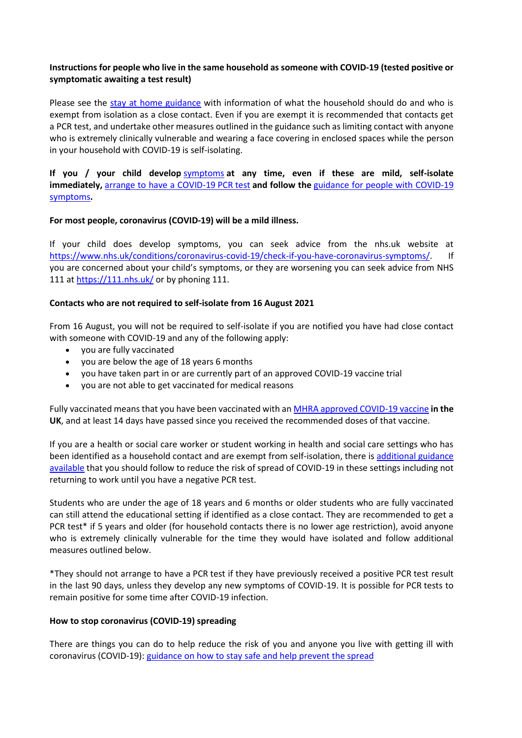# **Instructions for people who live in the same household as someone with COVID-19 (tested positive or symptomatic awaiting a test result)**

Please see the [stay at home guidance](https://www.gov.uk/government/publications/covid-19-stay-at-home-guidance) with information of what the household should do and who is exempt from isolation as a close contact. Even if you are exempt it is recommended that contacts get a PCR test, and undertake other measures outlined in the guidance such as limiting contact with anyone who is extremely clinically vulnerable and wearing a face covering in enclosed spaces while the person in your household with COVID-19 is self-isolating.

**If you / your child develop** [symptoms](https://www.gov.uk/government/publications/covid-19-stay-at-home-guidance/stay-at-home-guidance-for-households-with-possible-coronavirus-covid-19-infection#symptoms) **at any time, even if these are mild, self-isolate immediately,** [arrange to have a COVID-19](https://www.gov.uk/get-coronavirus-test) PCR test **and follow the** [guidance for people with COVID-19](https://www.gov.uk/government/publications/covid-19-stay-at-home-guidance/stay-at-home-guidance-for-households-with-possible-coronavirus-covid-19-infection#SymptomsPositiveTest)  [symptoms](https://www.gov.uk/government/publications/covid-19-stay-at-home-guidance/stay-at-home-guidance-for-households-with-possible-coronavirus-covid-19-infection#SymptomsPositiveTest)**.**

## **For most people, coronavirus (COVID-19) will be a mild illness.**

If your child does develop symptoms, you can seek advice from the nhs.uk website at [https://www.nhs.uk/conditions/coronavirus-covid-19/check-if-you-have-coronavirus-symptoms/.](https://www.nhs.uk/conditions/coronavirus-covid-19/check-if-you-have-coronavirus-symptoms/) If you are concerned about your child's symptoms, or they are worsening you can seek advice from NHS 111 at<https://111.nhs.uk/> or by phoning 111.

## **Contacts who are not required to self-isolate from 16 August 2021**

From 16 August, you will not be required to self-isolate if you are notified you have had close contact with someone with COVID-19 and any of the following apply:

- you are fully vaccinated
- you are below the age of 18 years 6 months
- you have taken part in or are currently part of an approved COVID-19 vaccine trial
- you are not able to get vaccinated for medical reasons

Fully vaccinated means that you have been vaccinated with a[n MHRA approved COVID-19 vaccine](https://www.nhs.uk/conditions/coronavirus-covid-19/coronavirus-vaccination/coronavirus-vaccine/) **in the UK**, and at least 14 days have passed since you received the recommended doses of that vaccine.

If you are a health or social care worker or student working in health and social care settings who has been identified as a household contact and are exempt from self-isolation, there is [additional guidance](https://www.gov.uk/government/publications/covid-19-management-of-exposed-healthcare-workers-and-patients-in-hospital-settings/covid-19-management-of-exposed-healthcare-workers-and-patients-in-hospital-settings)  [available](https://www.gov.uk/government/publications/covid-19-management-of-exposed-healthcare-workers-and-patients-in-hospital-settings/covid-19-management-of-exposed-healthcare-workers-and-patients-in-hospital-settings) that you should follow to reduce the risk of spread of COVID-19 in these settings including not returning to work until you have a negative PCR test.

Students who are under the age of 18 years and 6 months or older students who are fully vaccinated can still attend the educational setting if identified as a close contact. They are recommended to get a PCR test\* if 5 years and older (for household contacts there is no lower age restriction), avoid anyone who is extremely clinically vulnerable for the time they would have isolated and follow additional measures outlined below.

\*They should not arrange to have a PCR test if they have previously received a positive PCR test result in the last 90 days, unless they develop any new symptoms of COVID-19. It is possible for PCR tests to remain positive for some time after COVID-19 infection.

## **How to stop coronavirus (COVID-19) spreading**

There are things you can do to help reduce the risk of you and anyone you live with getting ill with coronavirus (COVID-19): guidance on [how to stay safe and help prevent the spread](https://www.gov.uk/guidance/covid-19-coronavirus-restrictions-what-you-can-and-cannot-do#keeping-yourself-and-others-safe)